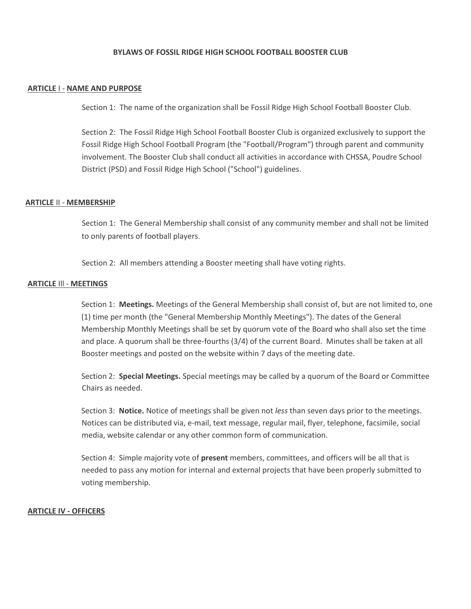# **BYLAWS OF FOSSIL RIDGE HIGH SCHOOL FOOTBALL BOOSTER CLUB**

#### **ARTICLE** I - **NAME AND PURPOSE**

Section 1: The name of the organization shall be Fossil Ridge High School Football Booster Club.

Section 2: The Fossil Ridge High School Football Booster Club is organized exclusively to support the Fossil Ridge High School Football Program (the "Football/Program") through parent and community involvement. The Booster Club shall conduct all activities in accordance with CHSSA, Poudre School District (PSD) and Fossil Ridge High School ("School") guidelines.

#### **ARTICLE** II - **MEMBERSHIP**

Section 1: The General Membership shall consist of any community member and shall not be limited to only parents of football players.

Section 2: All members attending a Booster meeting shall have voting rights.

#### **ARTICLE** Ill - **MEETINGS**

Section 1: **Meetings.** Meetings of the General Membership shall consist of, but are not limited to, one (1) time per month (the "General Membership Monthly Meetings"). The dates of the General Membership Monthly Meetings shall be set by quorum vote of the Board who shall also set the time and place. A quorum shall be three-fourths (3/4) of the current Board. Minutes shall be taken at all Booster meetings and posted on the website within 7 days of the meeting date.

Section 2: **Special Meetings.** Special meetings may be called by a quorum of the Board or Committee Chairs as needed.

Section 3: **Notice.** Notice of meetings shall be given not *less* than seven days prior to the meetings. Notices can be distributed via, e-mail, text message, regular mail, flyer, telephone, facsimile, social media, website calendar or any other common form of communication.

Section 4: Simple majority vote of **present** members, committees, and officers will be all that is needed to pass any motion for internal and external projects that have been properly submitted to voting membership.

## **ARTICLE IV - OFFICERS**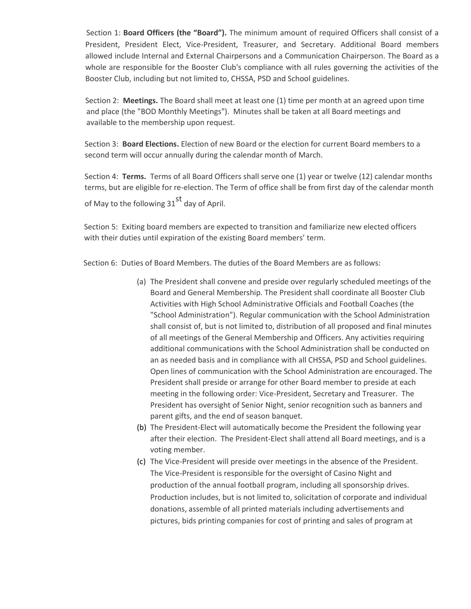Section 1: **Board Officers (the "Board").** The minimum amount of required Officers shall consist of a President, President Elect, Vice-President, Treasurer, and Secretary. Additional Board members allowed include Internal and External Chairpersons and a Communication Chairperson. The Board as a whole are responsible for the Booster Club's compliance with all rules governing the activities of the Booster Club, including but not limited to, CHSSA, PSD and School guidelines.

Section 2: **Meetings.** The Board shall meet at least one (1) time per month at an agreed upon time and place (the "BOD Monthly Meetings"). Minutes shall be taken at all Board meetings and available to the membership upon request.

Section 3: **Board Elections.** Election of new Board or the election for current Board members to a second term will occur annually during the calendar month of March.

Section 4: **Terms.** Terms of all Board Officers shall serve one (1) year or twelve (12) calendar months terms, but are eligible for re-election. The Term of office shall be from first day of the calendar month of May to the following  $31<sup>st</sup>$  day of April.

Section 5: Exiting board members are expected to transition and familiarize new elected officers with their duties until expiration of the existing Board members' term.

Section 6: Duties of Board Members. The duties of the Board Members are as follows:

- (a) The President shall convene and preside over regularly scheduled meetings of the Board and General Membership. The President shall coordinate all Booster Club Activities with High School Administrative Officials and Football Coaches (the "School Administration"). Regular communication with the School Administration shall consist of, but is not limited to, distribution of all proposed and final minutes of all meetings of the General Membership and Officers. Any activities requiring additional communications with the School Administration shall be conducted on an as needed basis and in compliance with all CHSSA, PSD and School guidelines. Open lines of communication with the School Administration are encouraged. The President shall preside or arrange for other Board member to preside at each meeting in the following order: Vice-President, Secretary and Treasurer. The President has oversight of Senior Night, senior recognition such as banners and parent gifts, and the end of season banquet.
- (b) The President-Elect will automatically become the President the following year after their election. The President-Elect shall attend all Board meetings, and is a voting member.
- (c) The Vice-President will preside over meetings in the absence of the President. The Vice-President is responsible for the oversight of Casino Night and production of the annual football program, including all sponsorship drives. Production includes, but is not limited to, solicitation of corporate and individual donations, assemble of all printed materials including advertisements and pictures, bids printing companies for cost of printing and sales of program at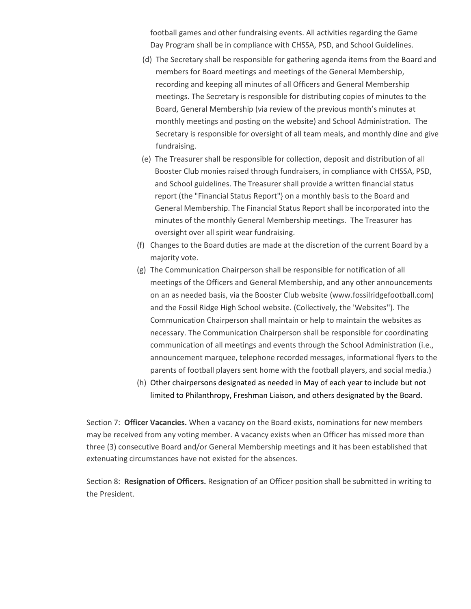football games and other fundraising events. All activities regarding the Game Day Program shall be in compliance with CHSSA, PSD, and School Guidelines.

- (d) The Secretary shall be responsible for gathering agenda items from the Board and members for Board meetings and meetings of the General Membership, recording and keeping all minutes of all Officers and General Membership meetings. The Secretary is responsible for distributing copies of minutes to the Board, General Membership (via review of the previous month's minutes at monthly meetings and posting on the website) and School Administration. The Secretary is responsible for oversight of all team meals, and monthly dine and give fundraising.
- (e) The Treasurer shall be responsible for collection, deposit and distribution of all Booster Club monies raised through fundraisers, in compliance with CHSSA, PSD, and School guidelines. The Treasurer shall provide a written financial status report (the "Financial Status Report"} on a monthly basis to the Board and General Membership. The Financial Status Report shall be incorporated into the minutes of the monthly General Membership meetings. The Treasurer has oversight over all spirit wear fundraising.
- (f) Changes to the Board duties are made at the discretion of the current Board by a majority vote.
- (g) The Communication Chairperson shall be responsible for notification of all meetings of the Officers and General Membership, and any other announcements on an as needed basis, via the Booster Club website (www.fossilridgefootball.com) and the Fossil Ridge High School website. (Collectively, the 'Websites''). The Communication Chairperson shall maintain or help to maintain the websites as necessary. The Communication Chairperson shall be responsible for coordinating communication of all meetings and events through the School Administration (i.e., announcement marquee, telephone recorded messages, informational flyers to the parents of football players sent home with the football players, and social media.)
- (h) Other chairpersons designated as needed in May of each year to include but not limited to Philanthropy, Freshman Liaison, and others designated by the Board.

Section 7: **Officer Vacancies.** When a vacancy on the Board exists, nominations for new members may be received from any voting member. A vacancy exists when an Officer has missed more than three (3) consecutive Board and/or General Membership meetings and it has been established that extenuating circumstances have not existed for the absences.

Section 8: **Resignation of Officers.** Resignation of an Officer position shall be submitted in writing to the President.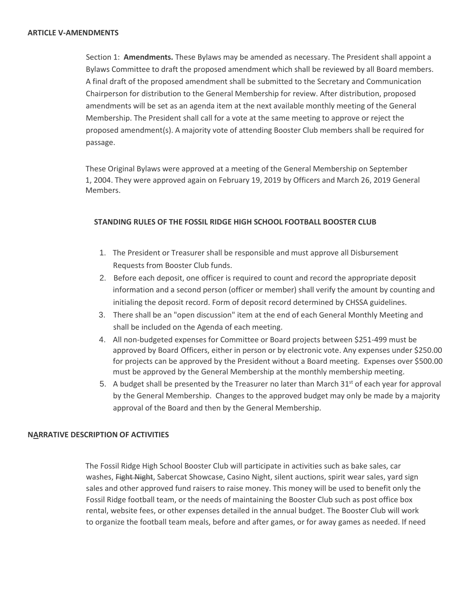Section 1: **Amendments.** These Bylaws may be amended as necessary. The President shall appoint a Bylaws Committee to draft the proposed amendment which shall be reviewed by all Board members. A final draft of the proposed amendment shall be submitted to the Secretary and Communication Chairperson for distribution to the General Membership for review. After distribution, proposed amendments will be set as an agenda item at the next available monthly meeting of the General Membership. The President shall call for a vote at the same meeting to approve or reject the proposed amendment(s). A majority vote of attending Booster Club members shall be required for passage.

These Original Bylaws were approved at a meeting of the General Membership on September 1, 2004. They were approved again on February 19, 2019 by Officers and March 26, 2019 General Members.

# **STANDING RULES OF THE FOSSIL RIDGE HIGH SCHOOL FOOTBALL BOOSTER CLUB**

- 1. The President or Treasurer shall be responsible and must approve all Disbursement Requests from Booster Club funds.
- 2. Before each deposit, one officer is required to count and record the appropriate deposit information and a second person (officer or member) shall verify the amount by counting and initialing the deposit record. Form of deposit record determined by CHSSA guidelines.
- 3. There shall be an "open discussion" item at the end of each General Monthly Meeting and shall be included on the Agenda of each meeting.
- 4. All non-budgeted expenses for Committee or Board projects between \$251-499 must be approved by Board Officers, either in person or by electronic vote. Any expenses under \$250.00 for projects can be approved by the President without a Board meeting. Expenses over \$500.00 must be approved by the General Membership at the monthly membership meeting.
- 5. A budget shall be presented by the Treasurer no later than March  $31<sup>st</sup>$  of each year for approval by the General Membership. Changes to the approved budget may only be made by a majority approval of the Board and then by the General Membership.

## **NARRATIVE DESCRIPTION OF ACTIVITIES**

The Fossil Ridge High School Booster Club will participate in activities such as bake sales, car washes, Fight Night, Sabercat Showcase, Casino Night, silent auctions, spirit wear sales, yard sign sales and other approved fund raisers to raise money. This money will be used to benefit only the Fossil Ridge football team, or the needs of maintaining the Booster Club such as post office box rental, website fees, or other expenses detailed in the annual budget. The Booster Club will work to organize the football team meals, before and after games, or for away games as needed. If need